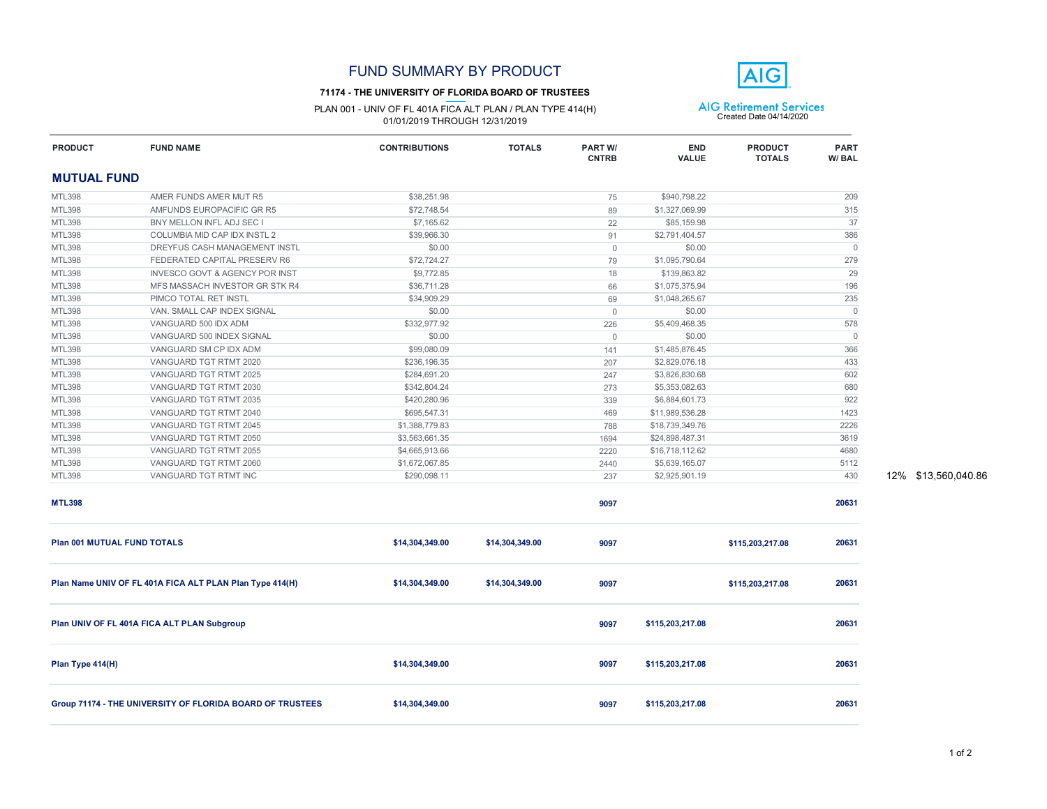#### **71174 - THE UNIVERSITY OF FLORIDA BOARD OF TRUSTEES**

PLAN 001 - UNIV OF FL 401A FICA ALT PLAN / PLAN TYPE 414(H) <br>
01/01/2019 THROUGH 12/31/2019 01/01/2019 Created Date 04/14/2020

**FUND NAME CONTRIBUTIONS TOTALS PART W/**



**PART**

**END** 

| <b>PRODUCT</b>              | <b>FUND NAME</b>                                          | <b>CONTRIBUTIONS</b> | TOTALS          | PART W/<br><b>CNTRB</b> | END<br><b>VALUE</b> | <b>PRODUCT</b><br><b>TOTALS</b> | <b>PART</b><br>W/BAL |
|-----------------------------|-----------------------------------------------------------|----------------------|-----------------|-------------------------|---------------------|---------------------------------|----------------------|
| <b>MUTUAL FUND</b>          |                                                           |                      |                 |                         |                     |                                 |                      |
| <b>MTL398</b>               | AMER FUNDS AMER MUT R5                                    | \$38,251.98          |                 | 75                      | \$940,798.22        |                                 | 209                  |
| <b>MTL398</b>               | AMFUNDS EUROPACIFIC GR R5                                 | \$72,748.54          |                 | 89                      | \$1,327,069.99      |                                 | 315                  |
| <b>MTL398</b>               | BNY MELLON INFL ADJ SEC I                                 | \$7,165.62           |                 | 22                      | \$85,159.98         |                                 | 37                   |
| <b>MTL398</b>               | COLUMBIA MID CAP IDX INSTL 2                              | \$39,966.30          |                 | 91                      | \$2,791,404.57      |                                 | 386                  |
| <b>MTL398</b>               | DREYFUS CASH MANAGEMENT INSTL                             | \$0.00               |                 | $\overline{0}$          | \$0.00              |                                 | $\overline{0}$       |
| <b>MTL398</b>               | FEDERATED CAPITAL PRESERV R6                              | \$72,724.27          |                 | 79                      | \$1,095,790.64      |                                 | 279                  |
| <b>MTL398</b>               | <b>INVESCO GOVT &amp; AGENCY POR INST</b>                 | \$9,772.85           |                 | 18                      | \$139,863.82        |                                 | 29                   |
| <b>MTL398</b>               | MFS MASSACH INVESTOR GR STK R4                            | \$36,711.28          |                 | 66                      | \$1,075,375.94      |                                 | 196                  |
| <b>MTL398</b>               | PIMCO TOTAL RET INSTL                                     | \$34,909.29          |                 | 69                      | \$1,048,265.67      |                                 | 235                  |
| <b>MTL398</b>               | VAN. SMALL CAP INDEX SIGNAL                               | \$0.00               |                 | $\overline{0}$          | \$0.00              |                                 | $\overline{0}$       |
| <b>MTL398</b>               | VANGUARD 500 IDX ADM                                      | \$332,977.92         |                 | 226                     | \$5,409,468.35      |                                 | 578                  |
| <b>MTL398</b>               | VANGUARD 500 INDEX SIGNAL                                 | \$0.00               |                 | $\overline{0}$          | \$0.00              |                                 | $\Omega$             |
| <b>MTL398</b>               | VANGUARD SM CP IDX ADM                                    | \$99,080.09          |                 | 141                     | \$1,485,876.45      |                                 | 366                  |
| <b>MTL398</b>               | VANGUARD TGT RTMT 2020                                    | \$236,196.35         |                 | 207                     | \$2,829,076.18      |                                 | 433                  |
| <b>MTL398</b>               | VANGUARD TGT RTMT 2025                                    | \$284,691.20         |                 | 247                     | \$3,826,830.68      |                                 | 602                  |
| <b>MTL398</b>               | VANGUARD TGT RTMT 2030                                    | \$342,804.24         |                 | 273                     | \$5,353,082.63      |                                 | 680                  |
| <b>MTL398</b>               | VANGUARD TGT RTMT 2035                                    | \$420,280.96         |                 | 339                     | \$6,884,601.73      |                                 | 922                  |
| <b>MTL398</b>               | VANGUARD TGT RTMT 2040                                    | \$695,547.31         |                 | 469                     | \$11,989,536.28     |                                 | 1423                 |
| <b>MTL398</b>               | VANGUARD TGT RTMT 2045                                    | \$1,388,779.83       |                 | 788                     | \$18,739,349.76     |                                 | 2226                 |
| <b>MTL398</b>               | VANGUARD TGT RTMT 2050                                    | \$3,563,661.35       |                 | 1694                    | \$24,898,487.31     |                                 | 3619                 |
| <b>MTL398</b>               | VANGUARD TGT RTMT 2055                                    | \$4,665,913.66       |                 | 2220                    | \$16,718,112.62     |                                 | 4680                 |
| <b>MTL398</b>               | VANGUARD TGT RTMT 2060                                    | \$1,672,067.85       |                 | 2440                    | \$5,639,165.07      |                                 | 5112                 |
| <b>MTL398</b>               | VANGUARD TGT RTMT INC                                     | \$290,098.11         |                 | 237                     | \$2,925,901.19      |                                 | 430                  |
| <b>MTL398</b>               |                                                           |                      |                 | 9097                    |                     |                                 | 20631                |
| Plan 001 MUTUAL FUND TOTALS |                                                           | \$14,304,349.00      | \$14,304,349.00 | 9097                    |                     | \$115,203,217.08                | 20631                |
|                             | Plan Name UNIV OF FL 401A FICA ALT PLAN Plan Type 414(H)  | \$14,304,349.00      | \$14,304,349.00 | 9097                    |                     | \$115,203,217.08                | 20631                |
|                             | Plan UNIV OF FL 401A FICA ALT PLAN Subgroup               |                      |                 | 9097                    | \$115,203,217.08    |                                 | 20631                |
| Plan Type 414(H)            |                                                           | \$14,304,349.00      |                 | 9097                    | \$115,203,217.08    |                                 | 20631                |
|                             | Group 71174 - THE UNIVERSITY OF FLORIDA BOARD OF TRUSTEES | \$14,304,349.00      |                 | 9097                    | \$115,203,217.08    |                                 | 20631                |

237 12% \$13,560,040.86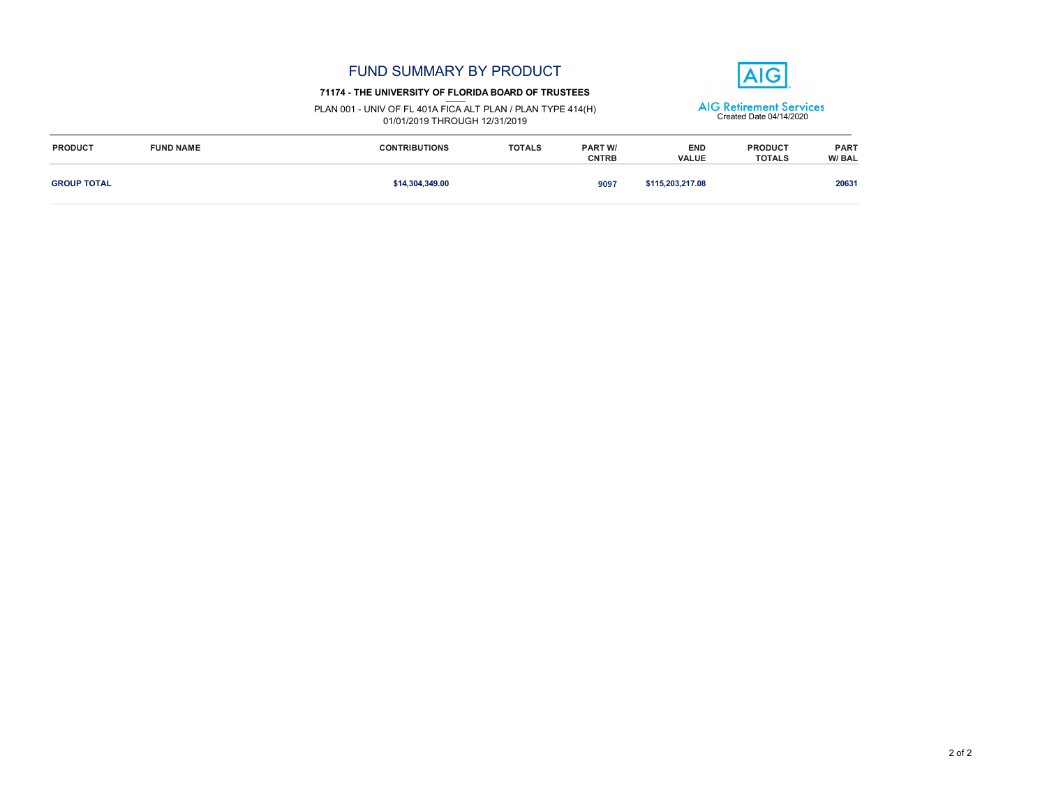|                    |                  | <b>FUND SUMMARY BY PRODUCT</b><br>71174 - THE UNIVERSITY OF FLORIDA BOARD OF TRUSTEES        |               |                                |                                                           | $\triangle$ IG                  |                      |
|--------------------|------------------|----------------------------------------------------------------------------------------------|---------------|--------------------------------|-----------------------------------------------------------|---------------------------------|----------------------|
|                    |                  | PLAN 001 - UNIV OF FL 401A FICA ALT PLAN / PLAN TYPE 414(H)<br>01/01/2019 THROUGH 12/31/2019 |               |                                | <b>AIG Retirement Services</b><br>Created Date 04/14/2020 |                                 |                      |
| <b>PRODUCT</b>     | <b>FUND NAME</b> | <b>CONTRIBUTIONS</b>                                                                         | <b>TOTALS</b> | <b>PART W/</b><br><b>CNTRB</b> | <b>END</b><br><b>VALUE</b>                                | <b>PRODUCT</b><br><b>TOTALS</b> | <b>PART</b><br>W/BAL |
| <b>GROUP TOTAL</b> |                  | \$14,304,349.00                                                                              |               | 9097                           | \$115,203,217.08                                          |                                 | 20631                |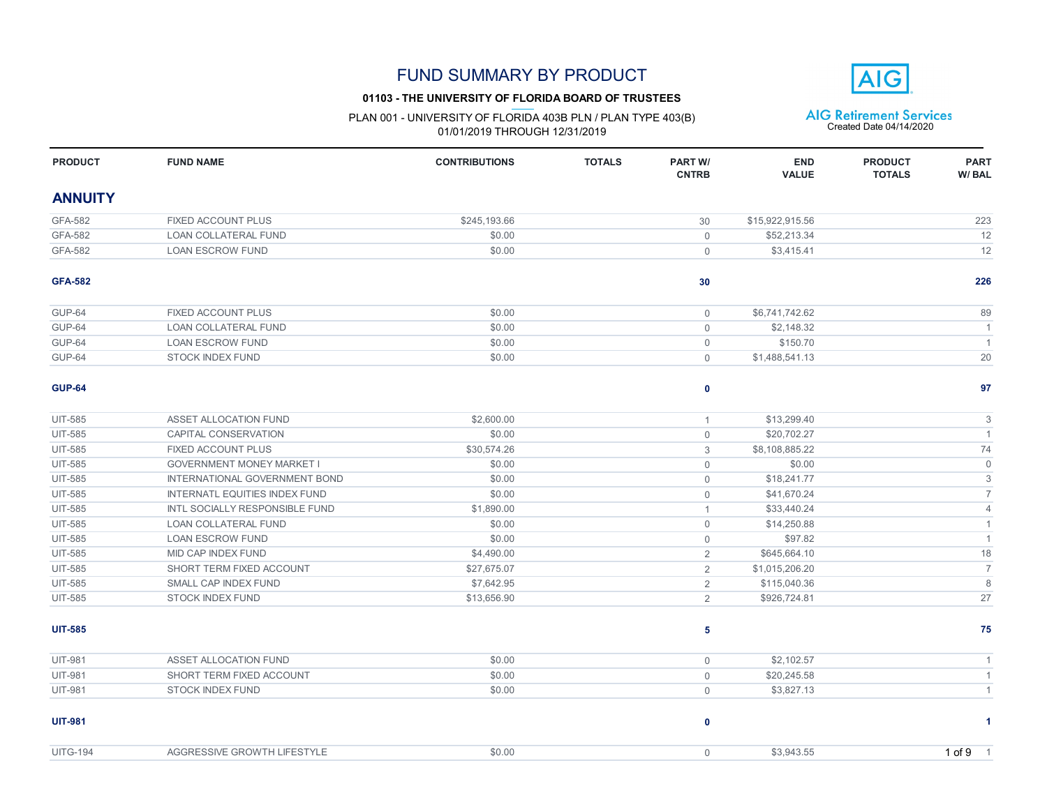### **01103 - THE UNIVERSITY OF FLORIDA BOARD OF TRUSTEES**

# PLAN 001 - UNIVERSITY OF FLORIDA 403B PLN / PLAN TYPE 403(B)  $\overline{AIG}$  Retirement Services<br>01/01/2019 THROUGH 12/31/2019

**AIG** 

| <b>PRODUCT</b>  | <b>FUND NAME</b>                      | <b>CONTRIBUTIONS</b> | <b>TOTALS</b> | <b>PART W/</b><br><b>CNTRB</b> | <b>END</b><br><b>VALUE</b> | <b>PRODUCT</b><br><b>TOTALS</b> | <b>PART</b><br>W/BAL |
|-----------------|---------------------------------------|----------------------|---------------|--------------------------------|----------------------------|---------------------------------|----------------------|
| <b>ANNUITY</b>  |                                       |                      |               |                                |                            |                                 |                      |
| <b>GFA-582</b>  | <b>FIXED ACCOUNT PLUS</b>             | \$245.193.66         |               | 30                             | \$15.922.915.56            |                                 | 223                  |
| GFA-582         | <b>LOAN COLLATERAL FUND</b>           | \$0.00               |               | $\Omega$                       | \$52,213.34                |                                 | 12                   |
| GFA-582         | <b>LOAN ESCROW FUND</b>               | \$0.00               |               | $\mathbf 0$                    | \$3,415.41                 |                                 | 12                   |
| <b>GFA-582</b>  |                                       |                      |               | 30                             |                            |                                 | 226                  |
| GUP-64          | <b>FIXED ACCOUNT PLUS</b>             | \$0.00               |               | $\overline{0}$                 | \$6,741,742.62             |                                 | 89                   |
| GUP-64          | <b>LOAN COLLATERAL FUND</b>           | \$0.00               |               | $\mathbf{0}$                   | \$2,148.32                 |                                 | $\overline{1}$       |
| <b>GUP-64</b>   | <b>LOAN ESCROW FUND</b>               | \$0.00               |               | $\mathbf 0$                    | \$150.70                   |                                 | $\overline{1}$       |
| <b>GUP-64</b>   | <b>STOCK INDEX FUND</b>               | \$0.00               |               | $\overline{0}$                 | \$1,488,541.13             |                                 | 20                   |
| <b>GUP-64</b>   |                                       |                      |               | 0                              |                            |                                 | 97                   |
| <b>UIT-585</b>  | ASSET ALLOCATION FUND                 | \$2,600.00           |               | $\mathbf{1}$                   | \$13,299.40                |                                 | $\mathsf 3$          |
| <b>UIT-585</b>  | CAPITAL CONSERVATION                  | \$0.00               |               | $\mathsf{O}\xspace$            | \$20,702.27                |                                 | $\mathbf{1}$         |
| <b>UIT-585</b>  | <b>FIXED ACCOUNT PLUS</b>             | \$30.574.26          |               | 3                              | \$8,108,885.22             |                                 | 74                   |
| <b>UIT-585</b>  | <b>GOVERNMENT MONEY MARKET I</b>      | \$0.00               |               | $\overline{0}$                 | \$0.00                     |                                 | $\mathbf 0$          |
| <b>UIT-585</b>  | INTERNATIONAL GOVERNMENT BOND         | \$0.00               |               | $\overline{0}$                 | \$18,241.77                |                                 | 3                    |
| <b>UIT-585</b>  | <b>INTERNATL EQUITIES INDEX FUND</b>  | \$0.00               |               | $\mathbf 0$                    | \$41,670.24                |                                 | $\overline{7}$       |
| <b>UIT-585</b>  | <b>INTL SOCIALLY RESPONSIBLE FUND</b> | \$1,890.00           |               | $\mathbf{1}$                   | \$33,440.24                |                                 | $\overline{4}$       |
| <b>UIT-585</b>  | <b>LOAN COLLATERAL FUND</b>           | \$0.00               |               | $\overline{0}$                 | \$14,250.88                |                                 | $\mathbf{1}$         |
| <b>UIT-585</b>  | <b>LOAN ESCROW FUND</b>               | \$0.00               |               | $\overline{0}$                 | \$97.82                    |                                 | $\overline{1}$       |
| <b>UIT-585</b>  | MID CAP INDEX FUND                    | \$4,490.00           |               | $\overline{2}$                 | \$645,664.10               |                                 | 18                   |
| <b>UIT-585</b>  | SHORT TERM FIXED ACCOUNT              | \$27,675.07          |               | $\overline{2}$                 | \$1,015,206.20             |                                 | $\overline{7}$       |
| <b>UIT-585</b>  | SMALL CAP INDEX FUND                  | \$7,642.95           |               | $\overline{2}$                 | \$115,040.36               |                                 | 8                    |
| <b>UIT-585</b>  | <b>STOCK INDEX FUND</b>               | \$13,656.90          |               | $\overline{2}$                 | \$926,724.81               |                                 | 27                   |
| <b>UIT-585</b>  |                                       |                      |               | 5                              |                            |                                 | 75                   |
| <b>UIT-981</b>  | <b>ASSET ALLOCATION FUND</b>          | \$0.00               |               | $\overline{0}$                 | \$2,102.57                 |                                 | $\overline{1}$       |
| <b>UIT-981</b>  | SHORT TERM FIXED ACCOUNT              | \$0.00               |               | $\overline{0}$                 | \$20,245.58                |                                 | $\mathbf{1}$         |
| <b>UIT-981</b>  | <b>STOCK INDEX FUND</b>               | \$0.00               |               | $\overline{0}$                 | \$3,827.13                 |                                 | $\mathbf{1}$         |
| <b>UIT-981</b>  |                                       |                      |               | 0                              |                            |                                 | -1                   |
| <b>UITG-194</b> | AGGRESSIVE GROWTH LIFESTYLE           | \$0.00               |               | $\mathbf 0$                    | \$3.943.55                 |                                 | 1 of 9 1             |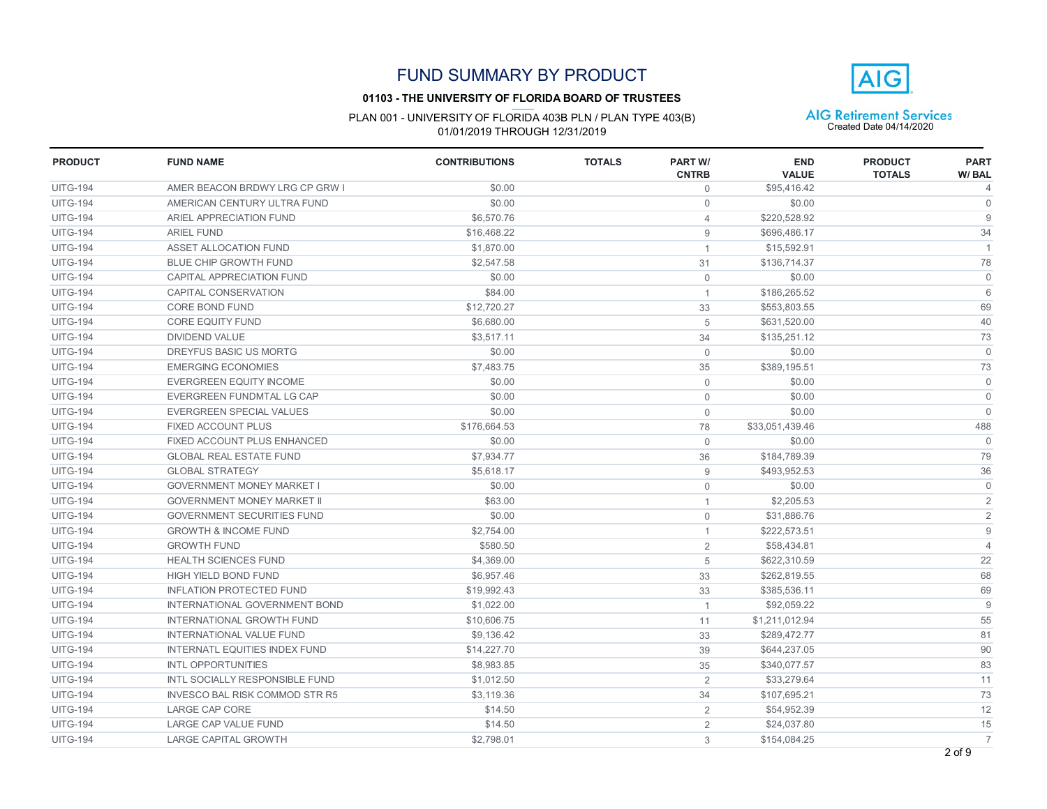#### **01103 - THE UNIVERSITY OF FLORIDA BOARD OF TRUSTEES**



| <b>PRODUCT</b>  | <b>FUND NAME</b>                      | <b>CONTRIBUTIONS</b> | <b>TOTALS</b> | <b>PART W/</b><br><b>CNTRB</b> | <b>END</b><br><b>VALUE</b> | <b>PRODUCT</b><br><b>TOTALS</b> | <b>PART</b><br>W/BAL |
|-----------------|---------------------------------------|----------------------|---------------|--------------------------------|----------------------------|---------------------------------|----------------------|
| <b>UITG-194</b> | AMER BEACON BRDWY LRG CP GRW I        | \$0.00               |               | $\mathbf{0}$                   | \$95,416.42                |                                 | 4                    |
| <b>UITG-194</b> | AMERICAN CENTURY ULTRA FUND           | \$0.00               |               | $\mathbf{0}$                   | \$0.00                     |                                 | $\mathbf{0}$         |
| <b>UITG-194</b> | ARIEL APPRECIATION FUND               | \$6,570.76           |               | $\overline{4}$                 | \$220.528.92               |                                 | 9                    |
| <b>UITG-194</b> | <b>ARIEL FUND</b>                     | \$16,468.22          |               | 9                              | \$696,486.17               |                                 | 34                   |
| <b>UITG-194</b> | ASSET ALLOCATION FUND                 | \$1,870.00           |               | $\mathbf{1}$                   | \$15,592.91                |                                 | $\overline{1}$       |
| <b>UITG-194</b> | <b>BLUE CHIP GROWTH FUND</b>          | \$2,547.58           |               | 31                             | \$136,714.37               |                                 | 78                   |
| <b>UITG-194</b> | CAPITAL APPRECIATION FUND             | \$0.00               |               | $\mathbf 0$                    | \$0.00                     |                                 | $\mathbf 0$          |
| <b>UITG-194</b> | <b>CAPITAL CONSERVATION</b>           | \$84.00              |               | $\mathbf{1}$                   | \$186,265.52               |                                 | 6                    |
| <b>UITG-194</b> | <b>CORE BOND FUND</b>                 | \$12,720.27          |               | 33                             | \$553,803.55               |                                 | 69                   |
| <b>UITG-194</b> | <b>CORE EQUITY FUND</b>               | \$6,680.00           |               | 5                              | \$631,520.00               |                                 | 40                   |
| <b>UITG-194</b> | <b>DIVIDEND VALUE</b>                 | \$3.517.11           |               | 34                             | \$135.251.12               |                                 | 73                   |
| <b>UITG-194</b> | DREYFUS BASIC US MORTG                | \$0.00               |               | $\mathbf 0$                    | \$0.00                     |                                 | $\mathbf{0}$         |
| <b>UITG-194</b> | <b>EMERGING ECONOMIES</b>             | \$7,483.75           |               | 35                             | \$389,195.51               |                                 | 73                   |
| <b>UITG-194</b> | <b>EVERGREEN EQUITY INCOME</b>        | \$0.00               |               | $\mathbf 0$                    | \$0.00                     |                                 | $\mathbf 0$          |
| <b>UITG-194</b> | EVERGREEN FUNDMTAL LG CAP             | \$0.00               |               | $\mathbf{0}$                   | \$0.00                     |                                 | $\mathbf 0$          |
| <b>UITG-194</b> | <b>EVERGREEN SPECIAL VALUES</b>       | \$0.00               |               | $\mathbf{0}$                   | \$0.00                     |                                 | $\mathbf{0}$         |
| <b>UITG-194</b> | <b>FIXED ACCOUNT PLUS</b>             | \$176,664.53         |               | 78                             | \$33,051,439.46            |                                 | 488                  |
| <b>UITG-194</b> | FIXED ACCOUNT PLUS ENHANCED           | \$0.00               |               | $\mathbf{0}$                   | \$0.00                     |                                 | $\Omega$             |
| <b>UITG-194</b> | <b>GLOBAL REAL ESTATE FUND</b>        | \$7,934.77           |               | 36                             | \$184,789.39               |                                 | 79                   |
| <b>UITG-194</b> | <b>GLOBAL STRATEGY</b>                | \$5,618.17           |               | $\overline{9}$                 | \$493,952.53               |                                 | 36                   |
| <b>UITG-194</b> | <b>GOVERNMENT MONEY MARKET I</b>      | \$0.00               |               | $\mathbf 0$                    | \$0.00                     |                                 | $\mathbf 0$          |
| <b>UITG-194</b> | <b>GOVERNMENT MONEY MARKET II</b>     | \$63.00              |               | $\mathbf{1}$                   | \$2,205.53                 |                                 | $\overline{2}$       |
| <b>UITG-194</b> | <b>GOVERNMENT SECURITIES FUND</b>     | \$0.00               |               | $\mathbf{0}$                   | \$31,886.76                |                                 | $\overline{2}$       |
| <b>UITG-194</b> | <b>GROWTH &amp; INCOME FUND</b>       | \$2.754.00           |               | $\mathbf{1}$                   | \$222.573.51               |                                 | $\overline{9}$       |
| <b>UITG-194</b> | <b>GROWTH FUND</b>                    | \$580.50             |               | 2                              | \$58,434.81                |                                 | $\overline{4}$       |
| <b>UITG-194</b> | <b>HEALTH SCIENCES FUND</b>           | \$4,369.00           |               | 5                              | \$622,310.59               |                                 | 22                   |
| <b>UITG-194</b> | <b>HIGH YIELD BOND FUND</b>           | \$6,957.46           |               | 33                             | \$262,819.55               |                                 | 68                   |
| <b>UITG-194</b> | <b>INFLATION PROTECTED FUND</b>       | \$19,992.43          |               | 33                             | \$385,536.11               |                                 | 69                   |
| <b>UITG-194</b> | <b>INTERNATIONAL GOVERNMENT BOND</b>  | \$1,022.00           |               | $\mathbf{1}$                   | \$92.059.22                |                                 | $\overline{9}$       |
| <b>UITG-194</b> | <b>INTERNATIONAL GROWTH FUND</b>      | \$10,606.75          |               | 11                             | \$1,211,012.94             |                                 | 55                   |
| <b>UITG-194</b> | <b>INTERNATIONAL VALUE FUND</b>       | \$9,136.42           |               | 33                             | \$289,472.77               |                                 | 81                   |
| <b>UITG-194</b> | <b>INTERNATL EQUITIES INDEX FUND</b>  | \$14,227.70          |               | 39                             | \$644,237.05               |                                 | 90                   |
| <b>UITG-194</b> | <b>INTL OPPORTUNITIES</b>             | \$8,983.85           |               | 35                             | \$340,077.57               |                                 | 83                   |
| <b>UITG-194</b> | INTL SOCIALLY RESPONSIBLE FUND        | \$1,012.50           |               | 2                              | \$33,279.64                |                                 | 11                   |
| <b>UITG-194</b> | <b>INVESCO BAL RISK COMMOD STR R5</b> | \$3,119.36           |               | 34                             | \$107,695.21               |                                 | 73                   |
| <b>UITG-194</b> | <b>LARGE CAP CORE</b>                 | \$14.50              |               | 2                              | \$54,952.39                |                                 | 12                   |
| <b>UITG-194</b> | <b>LARGE CAP VALUE FUND</b>           | \$14.50              |               | 2                              | \$24,037.80                |                                 | 15                   |
| <b>UITG-194</b> | <b>LARGE CAPITAL GROWTH</b>           | \$2.798.01           |               | 3                              | \$154.084.25               |                                 | $\overline{7}$       |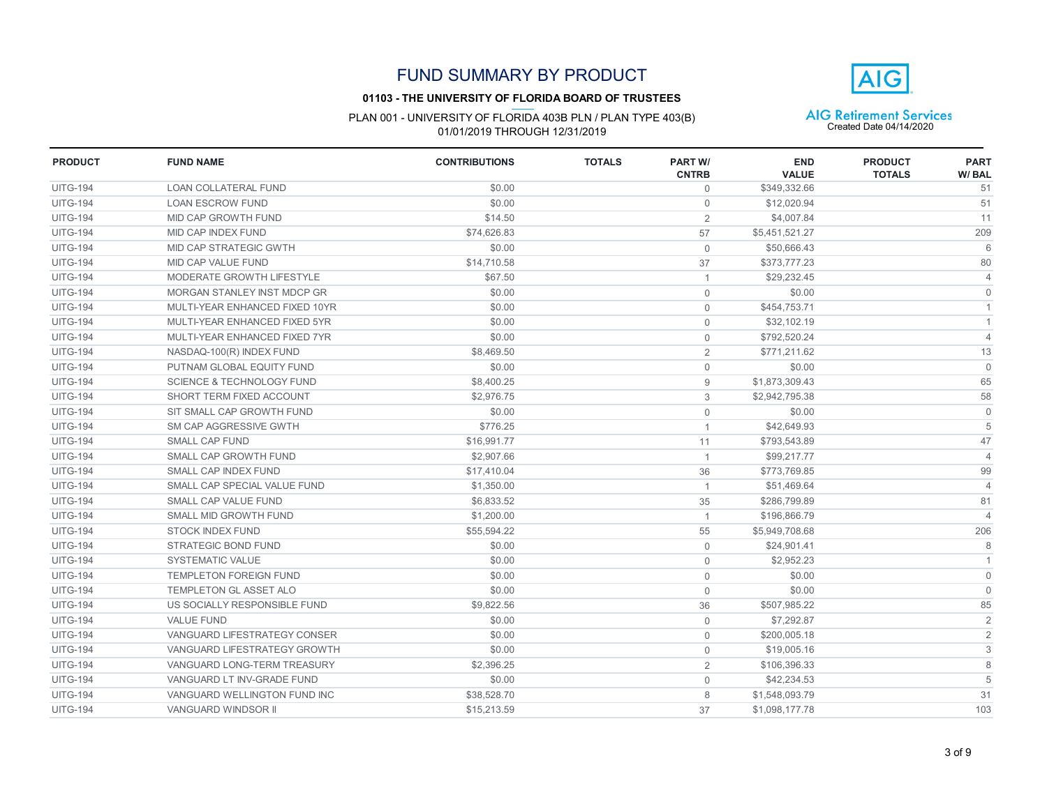### **01103 - THE UNIVERSITY OF FLORIDA BOARD OF TRUSTEES**

# PLAN 001 - UNIVERSITY OF FLORIDA 403B PLN / PLAN TYPE 403(B)  $\overline{AIG}$  Retirement Services<br>01/01/2019 THROUGH 12/31/2019

**AIG** 

| <b>PRODUCT</b>  | <b>FUND NAME</b>                     | <b>CONTRIBUTIONS</b> | <b>TOTALS</b> | <b>PART W/</b><br><b>CNTRB</b> | <b>END</b><br><b>VALUE</b> | <b>PRODUCT</b><br><b>TOTALS</b> | <b>PART</b><br>W/BAL |
|-----------------|--------------------------------------|----------------------|---------------|--------------------------------|----------------------------|---------------------------------|----------------------|
| <b>UITG-194</b> | <b>LOAN COLLATERAL FUND</b>          | \$0.00               |               | $\mathbf 0$                    | \$349,332.66               |                                 | 51                   |
| <b>UITG-194</b> | <b>LOAN ESCROW FUND</b>              | \$0.00               |               | $\mathbf 0$                    | \$12,020.94                |                                 | 51                   |
| <b>UITG-194</b> | MID CAP GROWTH FUND                  | \$14.50              |               | $\overline{2}$                 | \$4,007.84                 |                                 | 11                   |
| <b>UITG-194</b> | MID CAP INDEX FUND                   | \$74.626.83          |               | 57                             | \$5,451,521.27             |                                 | 209                  |
| <b>UITG-194</b> | MID CAP STRATEGIC GWTH               | \$0.00               |               | $\mathbf{0}$                   | \$50,666.43                |                                 | 6                    |
| <b>UITG-194</b> | MID CAP VALUE FUND                   | \$14,710.58          |               | 37                             | \$373,777,23               |                                 | 80                   |
| <b>UITG-194</b> | MODERATE GROWTH LIFESTYLE            | \$67.50              |               | $\overline{1}$                 | \$29,232.45                |                                 | $\overline{4}$       |
| <b>UITG-194</b> | MORGAN STANLEY INST MDCP GR          | \$0.00               |               | $\mathbf{0}$                   | \$0.00                     |                                 | $\mathbf 0$          |
| <b>UITG-194</b> | MULTI-YEAR ENHANCED FIXED 10YR       | \$0.00               |               | $\mathbf{0}$                   | \$454,753.71               |                                 | $\overline{1}$       |
| <b>UITG-194</b> | MULTI-YEAR ENHANCED FIXED 5YR        | \$0.00               |               | $\mathbf 0$                    | \$32,102.19                |                                 | $\overline{1}$       |
| <b>UITG-194</b> | MULTI-YEAR ENHANCED FIXED 7YR        | \$0.00               |               | $\mathbf{0}$                   | \$792,520.24               |                                 | $\overline{4}$       |
| <b>UITG-194</b> | NASDAQ-100(R) INDEX FUND             | \$8,469.50           |               | $\overline{2}$                 | \$771,211.62               |                                 | 13                   |
| <b>UITG-194</b> | PUTNAM GLOBAL EQUITY FUND            | \$0.00               |               | $\mathbf 0$                    | \$0.00                     |                                 | $\mathbf{0}$         |
| <b>UITG-194</b> | <b>SCIENCE &amp; TECHNOLOGY FUND</b> | \$8,400.25           |               | 9                              | \$1,873,309.43             |                                 | 65                   |
| <b>UITG-194</b> | SHORT TERM FIXED ACCOUNT             | \$2,976.75           |               | 3                              | \$2,942,795.38             |                                 | 58                   |
| <b>UITG-194</b> | SIT SMALL CAP GROWTH FUND            | \$0.00               |               | $\mathsf{O}\xspace$            | \$0.00                     |                                 | $\mathbf 0$          |
| <b>UITG-194</b> | SM CAP AGGRESSIVE GWTH               | \$776.25             |               | $\mathbf{1}$                   | \$42,649.93                |                                 | 5                    |
| <b>UITG-194</b> | <b>SMALL CAP FUND</b>                | \$16,991.77          |               | 11                             | \$793,543.89               |                                 | 47                   |
| <b>UITG-194</b> | SMALL CAP GROWTH FUND                | \$2,907.66           |               | $\mathbf{1}$                   | \$99,217.77                |                                 | $\overline{4}$       |
| <b>UITG-194</b> | SMALL CAP INDEX FUND                 | \$17,410.04          |               | 36                             | \$773,769.85               |                                 | 99                   |
| <b>UITG-194</b> | SMALL CAP SPECIAL VALUE FUND         | \$1,350.00           |               | $\mathbf{1}$                   | \$51,469.64                |                                 | $\overline{4}$       |
| <b>UITG-194</b> | SMALL CAP VALUE FUND                 | \$6,833.52           |               | 35                             | \$286,799.89               |                                 | 81                   |
| <b>UITG-194</b> | SMALL MID GROWTH FUND                | \$1,200.00           |               | $\overline{1}$                 | \$196,866.79               |                                 | $\overline{4}$       |
| <b>UITG-194</b> | <b>STOCK INDEX FUND</b>              | \$55.594.22          |               | 55                             | \$5,949,708.68             |                                 | 206                  |
| <b>UITG-194</b> | <b>STRATEGIC BOND FUND</b>           | \$0.00               |               | $\mathbf 0$                    | \$24,901.41                |                                 | 8                    |
| <b>UITG-194</b> | <b>SYSTEMATIC VALUE</b>              | \$0.00               |               | $\mathbf{0}$                   | \$2.952.23                 |                                 | $\overline{1}$       |
| <b>UITG-194</b> | <b>TEMPLETON FOREIGN FUND</b>        | \$0.00               |               | $\mathbf 0$                    | \$0.00                     |                                 | $\mathbf{0}$         |
| <b>UITG-194</b> | TEMPLETON GL ASSET ALO               | \$0.00               |               | $\mathbf 0$                    | \$0.00                     |                                 | $\mathbf{0}$         |
| <b>UITG-194</b> | US SOCIALLY RESPONSIBLE FUND         | \$9,822.56           |               | 36                             | \$507,985.22               |                                 | 85                   |
| <b>UITG-194</b> | <b>VALUE FUND</b>                    | \$0.00               |               | $\mathsf{O}$                   | \$7,292.87                 |                                 | $\overline{2}$       |
| <b>UITG-194</b> | VANGUARD LIFESTRATEGY CONSER         | \$0.00               |               | $\mathbf{0}$                   | \$200,005.18               |                                 | $\overline{2}$       |
| <b>UITG-194</b> | VANGUARD LIFESTRATEGY GROWTH         | \$0.00               |               | $\mathbf 0$                    | \$19,005.16                |                                 | 3                    |
| <b>UITG-194</b> | VANGUARD LONG-TERM TREASURY          | \$2,396.25           |               | $\overline{2}$                 | \$106,396.33               |                                 | 8                    |
| <b>UITG-194</b> | VANGUARD LT INV-GRADE FUND           | \$0.00               |               | $\mathbf{0}$                   | \$42,234.53                |                                 | 5                    |
| <b>UITG-194</b> | VANGUARD WELLINGTON FUND INC         | \$38,528.70          |               | 8                              | \$1,548,093.79             |                                 | 31                   |
| <b>UITG-194</b> | <b>VANGUARD WINDSOR II</b>           | \$15,213.59          |               | 37                             | \$1,098,177.78             |                                 | 103                  |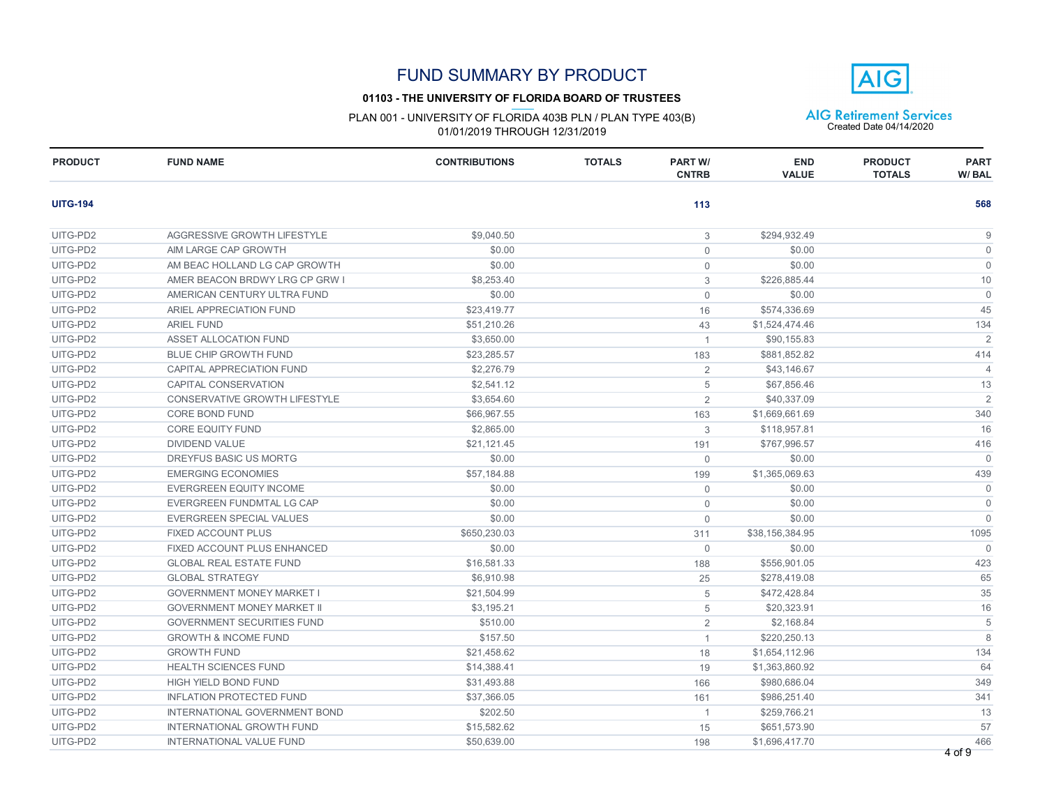### **01103 - THE UNIVERSITY OF FLORIDA BOARD OF TRUSTEES**

PLAN 001 - UNIVERSITY OF FLORIDA 403B PLN / PLAN TYPE 403(B) <br>
01/01/2019 THROUGH 12/31/2019

| <b>PRODUCT</b>  | <b>FUND NAME</b>                   | <b>CONTRIBUTIONS</b> | <b>TOTALS</b> | <b>PART W/</b><br><b>CNTRB</b> | <b>END</b><br><b>VALUE</b> | <b>PRODUCT</b><br><b>TOTALS</b> | <b>PART</b><br>W/BAL |
|-----------------|------------------------------------|----------------------|---------------|--------------------------------|----------------------------|---------------------------------|----------------------|
| <b>UITG-194</b> |                                    |                      |               | 113                            |                            |                                 | 568                  |
| UITG-PD2        | AGGRESSIVE GROWTH LIFESTYLE        | \$9,040.50           |               | 3                              | \$294,932.49               |                                 | 9                    |
| UITG-PD2        | AIM LARGE CAP GROWTH               | \$0.00               |               | $\overline{0}$                 | \$0.00                     |                                 | $\mathbf{0}$         |
| UITG-PD2        | AM BEAC HOLLAND LG CAP GROWTH      | \$0.00               |               | $\mathbf 0$                    | \$0.00                     |                                 | $\mathbf 0$          |
| UITG-PD2        | AMER BEACON BRDWY LRG CP GRW I     | \$8,253.40           |               | 3                              | \$226,885.44               |                                 | 10                   |
| UITG-PD2        | AMERICAN CENTURY ULTRA FUND        | \$0.00               |               | $\mathbf 0$                    | \$0.00                     |                                 | $\mathbf 0$          |
| UITG-PD2        | ARIEL APPRECIATION FUND            | \$23,419.77          |               | 16                             | \$574,336.69               |                                 | 45                   |
| UITG-PD2        | <b>ARIEL FUND</b>                  | \$51,210.26          |               | 43                             | \$1,524,474.46             |                                 | 134                  |
| UITG-PD2        | <b>ASSET ALLOCATION FUND</b>       | \$3,650.00           |               | $\overline{1}$                 | \$90,155.83                |                                 | 2                    |
| UITG-PD2        | <b>BLUE CHIP GROWTH FUND</b>       | \$23,285.57          |               | 183                            | \$881,852.82               |                                 | 414                  |
| UITG-PD2        | CAPITAL APPRECIATION FUND          | \$2,276.79           |               | $\overline{2}$                 | \$43,146.67                |                                 | $\overline{4}$       |
| UITG-PD2        | CAPITAL CONSERVATION               | \$2,541.12           |               | 5                              | \$67,856.46                |                                 | 13                   |
| UITG-PD2        | CONSERVATIVE GROWTH LIFESTYLE      | \$3,654.60           |               | $\overline{2}$                 | \$40,337.09                |                                 | $\overline{2}$       |
| UITG-PD2        | <b>CORE BOND FUND</b>              | \$66,967.55          |               | 163                            | \$1,669,661.69             |                                 | 340                  |
| UITG-PD2        | <b>CORE EQUITY FUND</b>            | \$2,865.00           |               | 3                              | \$118,957.81               |                                 | 16                   |
| UITG-PD2        | <b>DIVIDEND VALUE</b>              | \$21,121.45          |               | 191                            | \$767,996.57               |                                 | 416                  |
| UITG-PD2        | DREYFUS BASIC US MORTG             | \$0.00               |               | $\mathbf 0$                    | \$0.00                     |                                 | $\mathbf{0}$         |
| UITG-PD2        | <b>EMERGING ECONOMIES</b>          | \$57,184.88          |               | 199                            | \$1,365,069.63             |                                 | 439                  |
| UITG-PD2        | <b>EVERGREEN EQUITY INCOME</b>     | \$0.00               |               | $\mathbf 0$                    | \$0.00                     |                                 | $\mathbf 0$          |
| UITG-PD2        | EVERGREEN FUNDMTAL LG CAP          | \$0.00               |               | $\mathbf 0$                    | \$0.00                     |                                 | $\mathbf{0}$         |
| UITG-PD2        | EVERGREEN SPECIAL VALUES           | \$0.00               |               | $\mathbf 0$                    | \$0.00                     |                                 | $\mathbf{0}$         |
| UITG-PD2        | <b>FIXED ACCOUNT PLUS</b>          | \$650,230.03         |               | 311                            | \$38,156,384.95            |                                 | 1095                 |
| UITG-PD2        | <b>FIXED ACCOUNT PLUS ENHANCED</b> | \$0.00               |               | $\mathbf 0$                    | \$0.00                     |                                 | $\Omega$             |
| UITG-PD2        | <b>GLOBAL REAL ESTATE FUND</b>     | \$16,581.33          |               | 188                            | \$556,901.05               |                                 | 423                  |
| UITG-PD2        | <b>GLOBAL STRATEGY</b>             | \$6,910.98           |               | 25                             | \$278,419.08               |                                 | 65                   |
| UITG-PD2        | <b>GOVERNMENT MONEY MARKET I</b>   | \$21,504.99          |               | 5                              | \$472,428.84               |                                 | 35                   |
| UITG-PD2        | <b>GOVERNMENT MONEY MARKET II</b>  | \$3,195.21           |               | 5                              | \$20,323.91                |                                 | 16                   |
| UITG-PD2        | <b>GOVERNMENT SECURITIES FUND</b>  | \$510.00             |               | $\overline{2}$                 | \$2,168.84                 |                                 | 5                    |
| UITG-PD2        | <b>GROWTH &amp; INCOME FUND</b>    | \$157.50             |               | $\mathbf{1}$                   | \$220,250.13               |                                 | 8                    |
| UITG-PD2        | <b>GROWTH FUND</b>                 | \$21,458.62          |               | 18                             | \$1,654,112.96             |                                 | 134                  |
| UITG-PD2        | <b>HEALTH SCIENCES FUND</b>        | \$14,388.41          |               | 19                             | \$1,363,860.92             |                                 | 64                   |
| UITG-PD2        | <b>HIGH YIELD BOND FUND</b>        | \$31,493.88          |               | 166                            | \$980,686.04               |                                 | 349                  |
| UITG-PD2        | <b>INFLATION PROTECTED FUND</b>    | \$37,366.05          |               | 161                            | \$986,251.40               |                                 | 341                  |
| UITG-PD2        | INTERNATIONAL GOVERNMENT BOND      | \$202.50             |               | $\overline{1}$                 | \$259,766.21               |                                 | 13                   |
| UITG-PD2        | <b>INTERNATIONAL GROWTH FUND</b>   | \$15,582.62          |               | 15                             | \$651,573.90               |                                 | 57                   |
| UITG-PD2        | <b>INTERNATIONAL VALUE FUND</b>    | \$50,639.00          |               | 198                            | \$1,696,417.70             |                                 | 466<br>4 of 9        |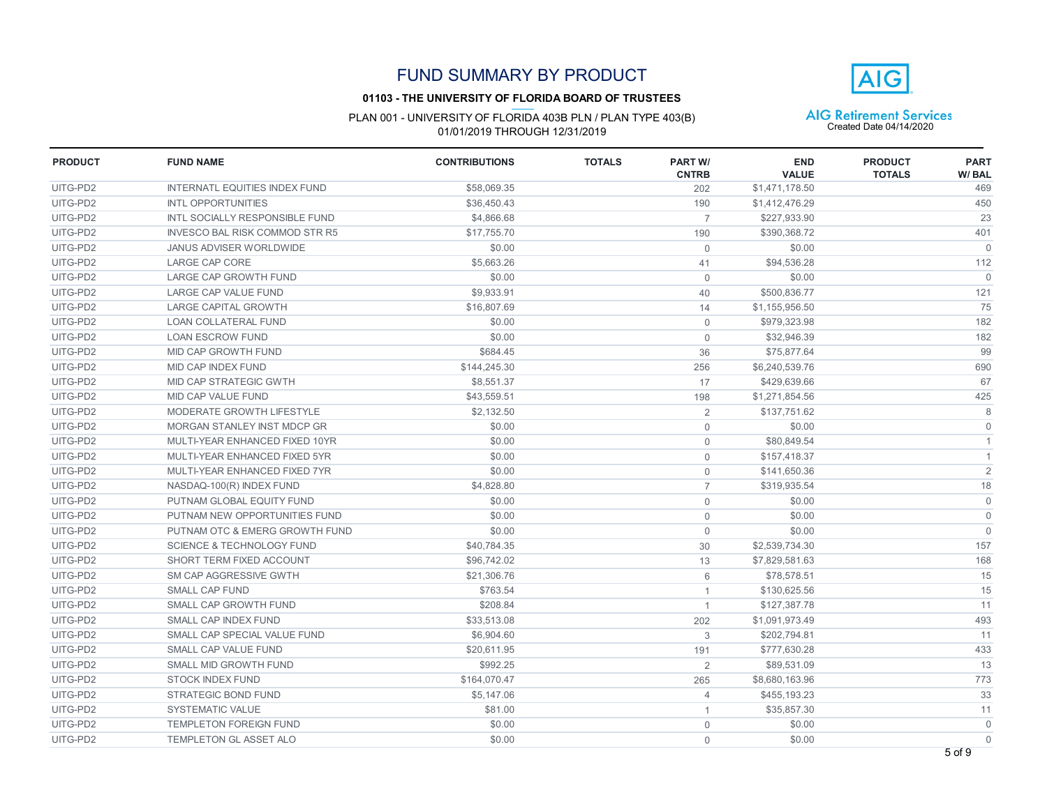### **01103 - THE UNIVERSITY OF FLORIDA BOARD OF TRUSTEES**



| <b>PRODUCT</b> | <b>FUND NAME</b>                      | <b>CONTRIBUTIONS</b> | <b>TOTALS</b> | <b>PART W/</b><br><b>CNTRB</b> | <b>END</b><br><b>VALUE</b> | <b>PRODUCT</b><br><b>TOTALS</b> | <b>PART</b><br>W/BAL |
|----------------|---------------------------------------|----------------------|---------------|--------------------------------|----------------------------|---------------------------------|----------------------|
| UITG-PD2       | <b>INTERNATL EQUITIES INDEX FUND</b>  | \$58,069.35          |               | 202                            | \$1,471,178.50             |                                 | 469                  |
| UITG-PD2       | <b>INTL OPPORTUNITIES</b>             | \$36.450.43          |               | 190                            | \$1,412,476.29             |                                 | 450                  |
| UITG-PD2       | <b>INTL SOCIALLY RESPONSIBLE FUND</b> | \$4,866.68           |               | $\overline{7}$                 | \$227,933.90               |                                 | 23                   |
| UITG-PD2       | <b>INVESCO BAL RISK COMMOD STR R5</b> | \$17,755.70          |               | 190                            | \$390,368.72               |                                 | 401                  |
| UITG-PD2       | JANUS ADVISER WORLDWIDE               | \$0.00               |               | $\mathbf{0}$                   | \$0.00                     |                                 | $\Omega$             |
| UITG-PD2       | LARGE CAP CORE                        | \$5,663.26           |               | 41                             | \$94,536.28                |                                 | 112                  |
| UITG-PD2       | <b>LARGE CAP GROWTH FUND</b>          | \$0.00               |               | $\mathbf{0}$                   | \$0.00                     |                                 | $\Omega$             |
| UITG-PD2       | LARGE CAP VALUE FUND                  | \$9,933.91           |               | 40                             | \$500,836.77               |                                 | 121                  |
| UITG-PD2       | <b>LARGE CAPITAL GROWTH</b>           | \$16,807.69          |               | 14                             | \$1,155,956.50             |                                 | 75                   |
| UITG-PD2       | <b>LOAN COLLATERAL FUND</b>           | \$0.00               |               | $\mathbf{0}$                   | \$979.323.98               |                                 | 182                  |
| UITG-PD2       | <b>LOAN ESCROW FUND</b>               | \$0.00               |               | $\mathbf{0}$                   | \$32,946.39                |                                 | 182                  |
| UITG-PD2       | MID CAP GROWTH FUND                   | \$684.45             |               | 36                             | \$75,877.64                |                                 | 99                   |
| UITG-PD2       | MID CAP INDEX FUND                    | \$144,245.30         |               | 256                            | \$6,240,539.76             |                                 | 690                  |
| UITG-PD2       | <b>MID CAP STRATEGIC GWTH</b>         | \$8,551.37           |               | 17                             | \$429,639.66               |                                 | 67                   |
| UITG-PD2       | MID CAP VALUE FUND                    | \$43,559.51          |               | 198                            | \$1,271,854.56             |                                 | 425                  |
| UITG-PD2       | MODERATE GROWTH LIFESTYLE             | \$2,132.50           |               | $\overline{2}$                 | \$137,751.62               |                                 | $\,8\,$              |
| UITG-PD2       | MORGAN STANLEY INST MDCP GR           | \$0.00               |               | $\mathsf{O}\xspace$            | \$0.00                     |                                 | $\mathbf 0$          |
| UITG-PD2       | MULTI-YEAR ENHANCED FIXED 10YR        | \$0.00               |               | $\overline{0}$                 | \$80,849.54                |                                 | $\mathbf{1}$         |
| UITG-PD2       | MULTI-YEAR ENHANCED FIXED 5YR         | \$0.00               |               | $\mathbf 0$                    | \$157,418.37               |                                 | $\mathbf{1}$         |
| UITG-PD2       | MULTI-YEAR ENHANCED FIXED 7YR         | \$0.00               |               | $\mathbf 0$                    | \$141,650.36               |                                 | $\overline{2}$       |
| UITG-PD2       | NASDAQ-100(R) INDEX FUND              | \$4,828.80           |               | $\overline{7}$                 | \$319,935.54               |                                 | 18                   |
| UITG-PD2       | PUTNAM GLOBAL EQUITY FUND             | \$0.00               |               | $\mathbf 0$                    | \$0.00                     |                                 | $\mathsf{O}$         |
| UITG-PD2       | PUTNAM NEW OPPORTUNITIES FUND         | \$0.00               |               | $\mathsf{O}\xspace$            | \$0.00                     |                                 | $\mathsf{O}$         |
| UITG-PD2       | PUTNAM OTC & EMERG GROWTH FUND        | \$0.00               |               | $\mathbf 0$                    | \$0.00                     |                                 | $\mathbf{0}$         |
| UITG-PD2       | <b>SCIENCE &amp; TECHNOLOGY FUND</b>  | \$40,784.35          |               | 30                             | \$2,539,734.30             |                                 | 157                  |
| UITG-PD2       | SHORT TERM FIXED ACCOUNT              | \$96,742.02          |               | 13                             | \$7,829,581.63             |                                 | 168                  |
| UITG-PD2       | SM CAP AGGRESSIVE GWTH                | \$21,306.76          |               | 6                              | \$78,578.51                |                                 | 15                   |
| UITG-PD2       | <b>SMALL CAP FUND</b>                 | \$763.54             |               | $\mathbf{1}$                   | \$130,625.56               |                                 | 15                   |
| UITG-PD2       | SMALL CAP GROWTH FUND                 | \$208.84             |               | $\mathbf{1}$                   | \$127,387.78               |                                 | 11                   |
| UITG-PD2       | SMALL CAP INDEX FUND                  | \$33,513.08          |               | 202                            | \$1,091,973.49             |                                 | 493                  |
| UITG-PD2       | SMALL CAP SPECIAL VALUE FUND          | \$6,904.60           |               | 3                              | \$202,794.81               |                                 | 11                   |
| UITG-PD2       | SMALL CAP VALUE FUND                  | \$20,611.95          |               | 191                            | \$777,630.28               |                                 | 433                  |
| UITG-PD2       | SMALL MID GROWTH FUND                 | \$992.25             |               | $\overline{2}$                 | \$89,531.09                |                                 | 13                   |
| UITG-PD2       | <b>STOCK INDEX FUND</b>               | \$164,070.47         |               | 265                            | \$8,680,163.96             |                                 | 773                  |
| UITG-PD2       | <b>STRATEGIC BOND FUND</b>            | \$5,147.06           |               | $\overline{4}$                 | \$455,193.23               |                                 | 33                   |
| UITG-PD2       | <b>SYSTEMATIC VALUE</b>               | \$81.00              |               | $\mathbf{1}$                   | \$35,857.30                |                                 | 11                   |
| UITG-PD2       | <b>TEMPLETON FOREIGN FUND</b>         | \$0.00               |               | $\mathbf 0$                    | \$0.00                     |                                 | $\mathsf{O}$         |
| UITG-PD2       | TEMPLETON GL ASSET ALO                | \$0.00               |               | $\Omega$                       | \$0.00                     |                                 | $\mathbf{0}$         |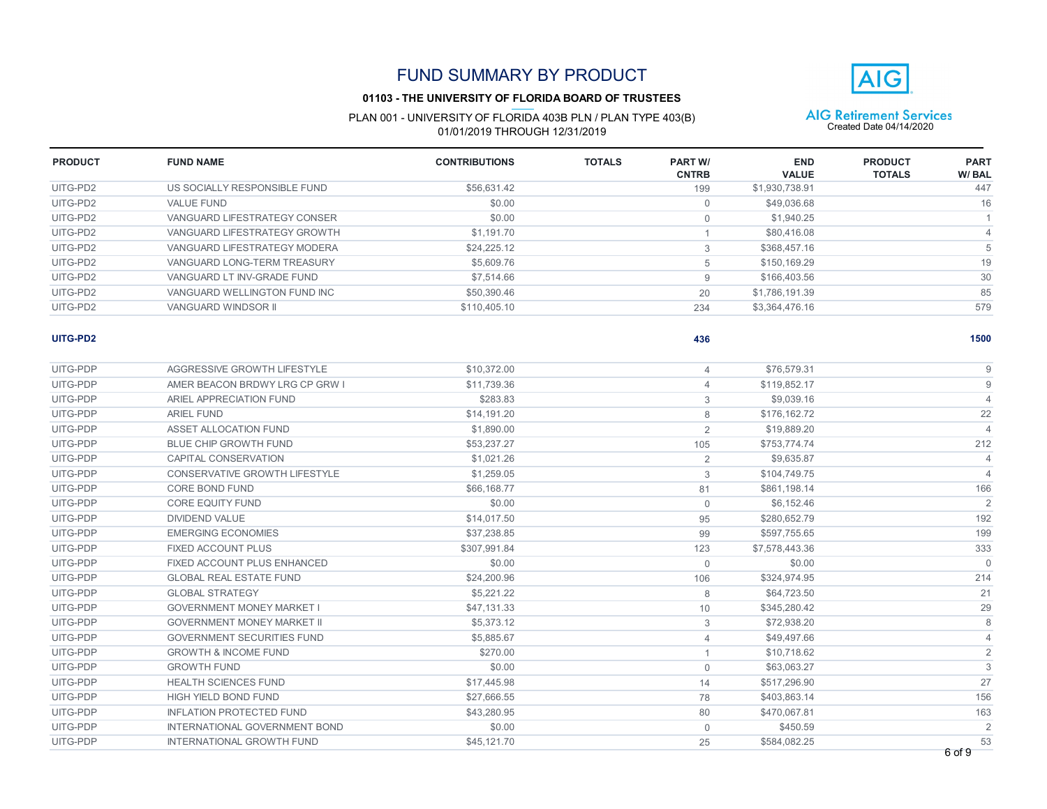### **01103 - THE UNIVERSITY OF FLORIDA BOARD OF TRUSTEES**

# PLAN 001 - UNIVERSITY OF FLORIDA 403B PLN / PLAN TYPE 403(B)  $\overline{AIG}$  Retirement Services<br>01/01/2019 THROUGH 12/31/2019



| <b>PRODUCT</b> | <b>FUND NAME</b>             | <b>CONTRIBUTIONS</b> | <b>TOTALS</b> | <b>PART W/</b><br><b>CNTRB</b> | <b>END</b><br><b>VALUE</b> | <b>PRODUCT</b><br><b>TOTALS</b> | <b>PART</b><br>W/BAL |
|----------------|------------------------------|----------------------|---------------|--------------------------------|----------------------------|---------------------------------|----------------------|
| UITG-PD2       | US SOCIALLY RESPONSIBLE FUND | \$56.631.42          |               | 199                            | \$1,930,738.91             |                                 | 447                  |
| UITG-PD2       | VALUE FUND                   | \$0.00               |               | 0                              | \$49,036.68                |                                 | 16                   |
| UITG-PD2       | VANGUARD LIFESTRATEGY CONSER | \$0.00               |               | $\Omega$                       | \$1,940.25                 |                                 |                      |
| UITG-PD2       | VANGUARD LIFESTRATEGY GROWTH | \$1,191.70           |               |                                | \$80,416.08                |                                 |                      |
| UITG-PD2       | VANGUARD LIFESTRATEGY MODERA | \$24.225.12          |               | 3                              | \$368,457.16               |                                 |                      |
| UITG-PD2       | VANGUARD LONG-TERM TREASURY  | \$5,609.76           |               | 5                              | \$150,169.29               |                                 | 19                   |
| UITG-PD2       | VANGUARD LT INV-GRADE FUND   | \$7,514.66           |               | 9                              | \$166,403.56               |                                 | 30                   |
| UITG-PD2       | VANGUARD WELLINGTON FUND INC | \$50,390.46          |               | 20                             | \$1,786,191.39             |                                 | 85                   |
| UITG-PD2       | VANGUARD WINDSOR II          | \$110,405.10         |               | 234                            | \$3,364,476.16             |                                 | 579                  |
|                |                              |                      |               |                                |                            |                                 |                      |

**436**

#### **UITG-PD2 1500**

| UITG-PDP | AGGRESSIVE GROWTH LIFESTYLE       | \$10.372.00  | 4              | \$76,579.31    |                |
|----------|-----------------------------------|--------------|----------------|----------------|----------------|
| UITG-PDP | AMER BEACON BRDWY LRG CP GRW I    | \$11,739.36  | 4              | \$119,852.17   |                |
| UITG-PDP | ARIEL APPRECIATION FUND           | \$283.83     | 3              | \$9,039.16     |                |
| UITG-PDP | <b>ARIEL FUND</b>                 | \$14,191.20  | 8              | \$176,162.72   | 22             |
| UITG-PDP | ASSET ALLOCATION FUND             | \$1,890.00   | 2              | \$19,889.20    | $\overline{4}$ |
| UITG-PDP | <b>BLUE CHIP GROWTH FUND</b>      | \$53,237.27  | 105            | \$753,774.74   | 212            |
| UITG-PDP | CAPITAL CONSERVATION              | \$1,021.26   | 2              | \$9,635.87     | $\overline{4}$ |
| UITG-PDP | CONSERVATIVE GROWTH LIFESTYLE     | \$1,259.05   | 3              | \$104,749.75   | $\overline{4}$ |
| UITG-PDP | CORE BOND FUND                    | \$66.168.77  | 81             | \$861,198.14   | 166            |
| UITG-PDP | <b>CORE EQUITY FUND</b>           | \$0.00       | $\mathbf{0}$   | \$6,152.46     | $\overline{2}$ |
| UITG-PDP | <b>DIVIDEND VALUE</b>             | \$14,017.50  | 95             | \$280,652.79   | 192            |
| UITG-PDP | <b>EMERGING ECONOMIES</b>         | \$37,238.85  | 99             | \$597.755.65   | 199            |
| UITG-PDP | <b>FIXED ACCOUNT PLUS</b>         | \$307,991.84 | 123            | \$7,578,443.36 | 333            |
| UITG-PDP | FIXED ACCOUNT PLUS ENHANCED       | \$0.00       | $\mathbf 0$    | \$0.00         | $\Omega$       |
| UITG-PDP | <b>GLOBAL REAL ESTATE FUND</b>    | \$24,200.96  | 106            | \$324,974.95   | 214            |
| UITG-PDP | <b>GLOBAL STRATEGY</b>            | \$5,221.22   | 8              | \$64,723.50    | 21             |
| UITG-PDP | <b>GOVERNMENT MONEY MARKET I</b>  | \$47.131.33  | 10             | \$345,280.42   | 29             |
| UITG-PDP | <b>GOVERNMENT MONEY MARKET II</b> | \$5,373.12   | 3              | \$72,938.20    |                |
| UITG-PDP | <b>GOVERNMENT SECURITIES FUND</b> | \$5,885.67   | $\overline{4}$ | \$49,497.66    |                |
| UITG-PDP | <b>GROWTH &amp; INCOME FUND</b>   | \$270.00     | $\overline{1}$ | \$10.718.62    | $\overline{2}$ |
| UITG-PDP | <b>GROWTH FUND</b>                | \$0.00       | $\mathbf 0$    | \$63,063.27    | 3              |
| UITG-PDP | <b>HEALTH SCIENCES FUND</b>       | \$17,445.98  | 14             | \$517,296.90   | 27             |
| UITG-PDP | <b>HIGH YIELD BOND FUND</b>       | \$27.666.55  | 78             | \$403,863.14   | 156            |
| UITG-PDP | <b>INFLATION PROTECTED FUND</b>   | \$43,280.95  | 80             | \$470,067.81   | 163            |
| UITG-PDP | INTERNATIONAL GOVERNMENT BOND     | \$0.00       | $\mathbf{0}$   | \$450.59       | $\overline{c}$ |
| UITG-PDP | <b>INTERNATIONAL GROWTH FUND</b>  | \$45.121.70  | 25             | \$584.082.25   | 53             |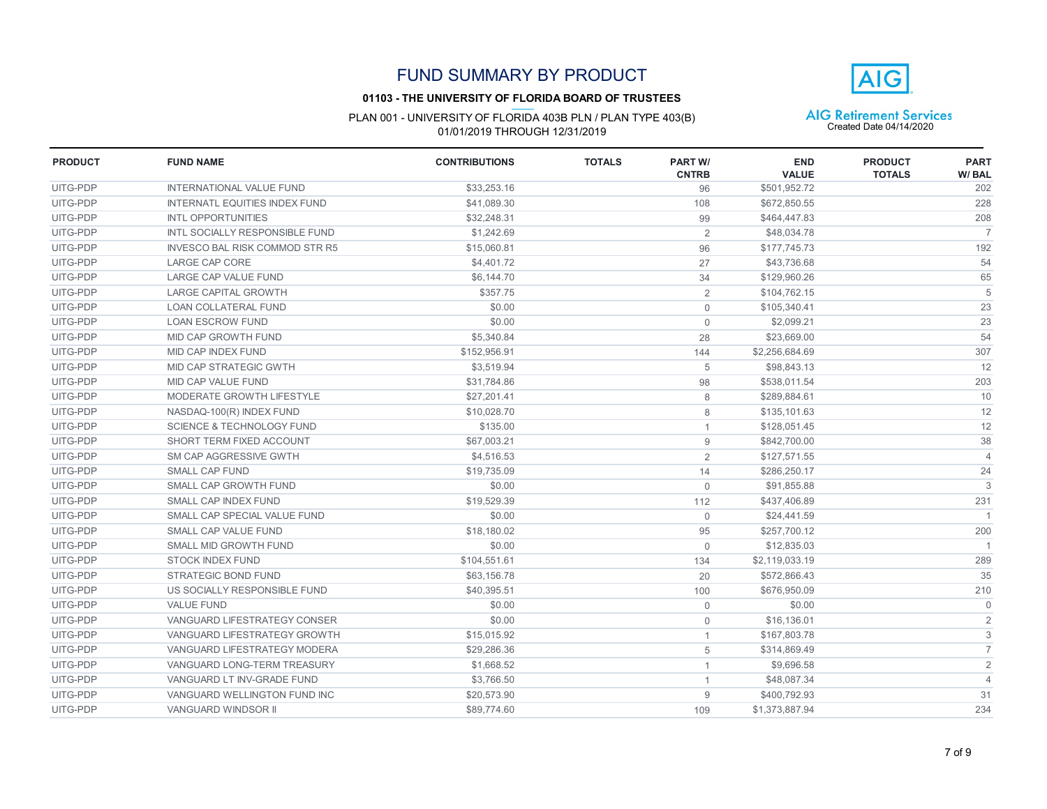

#### **01103 - THE UNIVERSITY OF FLORIDA BOARD OF TRUSTEES**

| <b>PRODUCT</b> | <b>FUND NAME</b>                      | <b>CONTRIBUTIONS</b> | <b>TOTALS</b> | <b>PART W/</b><br><b>CNTRB</b> | <b>END</b><br><b>VALUE</b> | <b>PRODUCT</b><br><b>TOTALS</b> | <b>PART</b><br>W/BAL |
|----------------|---------------------------------------|----------------------|---------------|--------------------------------|----------------------------|---------------------------------|----------------------|
| UITG-PDP       | <b>INTERNATIONAL VALUE FUND</b>       | \$33,253.16          |               | 96                             | \$501,952.72               |                                 | 202                  |
| UITG-PDP       | <b>INTERNATL EQUITIES INDEX FUND</b>  | \$41.089.30          |               | 108                            | \$672,850.55               |                                 | 228                  |
| UITG-PDP       | <b>INTL OPPORTUNITIES</b>             | \$32,248.31          |               | 99                             | \$464,447.83               |                                 | 208                  |
| UITG-PDP       | INTL SOCIALLY RESPONSIBLE FUND        | \$1,242.69           |               | $\overline{2}$                 | \$48,034.78                |                                 | $\overline{7}$       |
| UITG-PDP       | <b>INVESCO BAL RISK COMMOD STR R5</b> | \$15,060.81          |               | 96                             | \$177,745.73               |                                 | 192                  |
| UITG-PDP       | <b>LARGE CAP CORE</b>                 | \$4,401.72           |               | 27                             | \$43,736.68                |                                 | 54                   |
| UITG-PDP       | LARGE CAP VALUE FUND                  | \$6,144.70           |               | 34                             | \$129,960.26               |                                 | 65                   |
| UITG-PDP       | <b>LARGE CAPITAL GROWTH</b>           | \$357.75             |               | $\overline{2}$                 | \$104,762.15               |                                 | 5                    |
| UITG-PDP       | <b>LOAN COLLATERAL FUND</b>           | \$0.00               |               | $\Omega$                       | \$105,340.41               |                                 | 23                   |
| UITG-PDP       | <b>LOAN ESCROW FUND</b>               | \$0.00               |               | $\mathbf 0$                    | \$2.099.21                 |                                 | 23                   |
| UITG-PDP       | MID CAP GROWTH FUND                   | \$5,340.84           |               | 28                             | \$23.669.00                |                                 | 54                   |
| UITG-PDP       | <b>MID CAP INDEX FUND</b>             | \$152,956.91         |               | 144                            | \$2,256,684.69             |                                 | 307                  |
| UITG-PDP       | MID CAP STRATEGIC GWTH                | \$3,519.94           |               | 5                              | \$98,843.13                |                                 | 12                   |
| UITG-PDP       | MID CAP VALUE FUND                    | \$31,784.86          |               | 98                             | \$538,011.54               |                                 | 203                  |
| UITG-PDP       | MODERATE GROWTH LIFESTYLE             | \$27,201.41          |               | 8                              | \$289,884.61               |                                 | 10                   |
| UITG-PDP       | NASDAQ-100(R) INDEX FUND              | \$10,028.70          |               | 8                              | \$135,101.63               |                                 | 12                   |
| UITG-PDP       | <b>SCIENCE &amp; TECHNOLOGY FUND</b>  | \$135.00             |               | 1                              | \$128,051.45               |                                 | 12                   |
| UITG-PDP       | SHORT TERM FIXED ACCOUNT              | \$67,003.21          |               | 9                              | \$842,700.00               |                                 | 38                   |
| UITG-PDP       | SM CAP AGGRESSIVE GWTH                | \$4,516.53           |               | $\overline{2}$                 | \$127,571.55               |                                 | $\overline{4}$       |
| UITG-PDP       | SMALL CAP FUND                        | \$19,735.09          |               | 14                             | \$286,250.17               |                                 | 24                   |
| UITG-PDP       | SMALL CAP GROWTH FUND                 | \$0.00               |               | $\mathbf{0}$                   | \$91,855.88                |                                 | 3                    |
| UITG-PDP       | SMALL CAP INDEX FUND                  | \$19,529.39          |               | 112                            | \$437,406.89               |                                 | 231                  |
| UITG-PDP       | SMALL CAP SPECIAL VALUE FUND          | \$0.00               |               | $\mathbf{0}$                   | \$24,441.59                |                                 |                      |
| UITG-PDP       | SMALL CAP VALUE FUND                  | \$18,180.02          |               | 95                             | \$257,700.12               |                                 | 200                  |
| UITG-PDP       | SMALL MID GROWTH FUND                 | \$0.00               |               | $\mathbf{0}$                   | \$12,835.03                |                                 |                      |
| UITG-PDP       | <b>STOCK INDEX FUND</b>               | \$104,551.61         |               | 134                            | \$2,119,033.19             |                                 | 289                  |
| UITG-PDP       | <b>STRATEGIC BOND FUND</b>            | \$63,156.78          |               | 20                             | \$572,866.43               |                                 | 35                   |
| UITG-PDP       | US SOCIALLY RESPONSIBLE FUND          | \$40,395.51          |               | 100                            | \$676,950.09               |                                 | 210                  |
| UITG-PDP       | <b>VALUE FUND</b>                     | \$0.00               |               | $\mathbf 0$                    | \$0.00                     |                                 | $\Omega$             |
| UITG-PDP       | VANGUARD LIFESTRATEGY CONSER          | \$0.00               |               | $\mathbf{0}$                   | \$16,136.01                |                                 | $\overline{2}$       |
| UITG-PDP       | VANGUARD LIFESTRATEGY GROWTH          | \$15,015.92          |               | 1                              | \$167,803.78               |                                 | 3                    |
| UITG-PDP       | <b>VANGUARD LIFESTRATEGY MODERA</b>   | \$29,286.36          |               | 5                              | \$314,869.49               |                                 | $\overline{7}$       |
| UITG-PDP       | VANGUARD LONG-TERM TREASURY           | \$1,668.52           |               | 1                              | \$9,696.58                 |                                 | $\sqrt{2}$           |
| UITG-PDP       | VANGUARD LT INV-GRADE FUND            | \$3,766.50           |               | 1                              | \$48,087.34                |                                 | $\overline{4}$       |
| UITG-PDP       | VANGUARD WELLINGTON FUND INC          | \$20,573.90          |               | 9                              | \$400,792.93               |                                 | 31                   |
| UITG-PDP       | <b>VANGUARD WINDSOR II</b>            | \$89,774.60          |               | 109                            | \$1,373,887.94             |                                 | 234                  |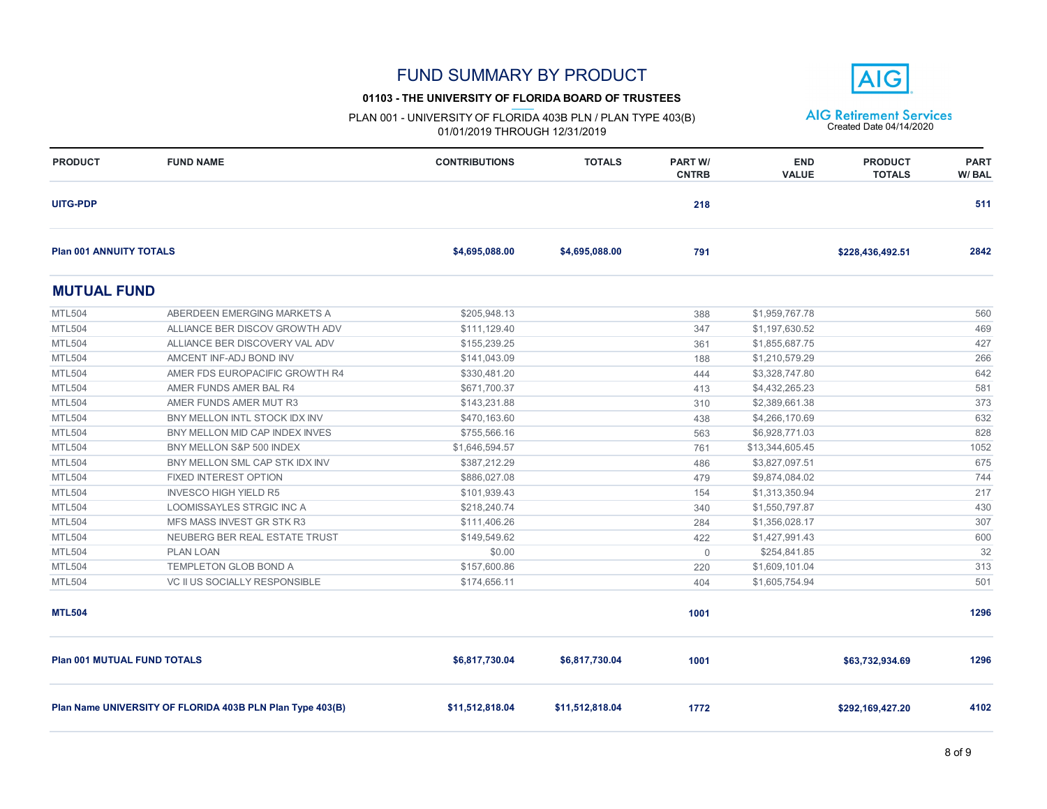#### **01103 - THE UNIVERSITY OF FLORIDA BOARD OF TRUSTEES**

**AIG** 

| <b>PRODUCT</b>                     | <b>FUND NAME</b>                                          | <b>CONTRIBUTIONS</b> | <b>TOTALS</b>   | <b>PART W/</b><br><b>CNTRB</b> | <b>END</b><br><b>VALUE</b> | <b>PRODUCT</b><br><b>TOTALS</b> | <b>PART</b><br>W/BAL |
|------------------------------------|-----------------------------------------------------------|----------------------|-----------------|--------------------------------|----------------------------|---------------------------------|----------------------|
| <b>UITG-PDP</b>                    |                                                           |                      |                 | 218                            |                            |                                 | 511                  |
| <b>Plan 001 ANNUITY TOTALS</b>     |                                                           | \$4,695,088.00       | \$4,695,088.00  | 791                            |                            | \$228,436,492.51                | 2842                 |
| <b>MUTUAL FUND</b>                 |                                                           |                      |                 |                                |                            |                                 |                      |
| <b>MTL504</b>                      | ABERDEEN EMERGING MARKETS A                               | \$205.948.13         |                 | 388                            | \$1,959,767.78             |                                 | 560                  |
| <b>MTL504</b>                      | ALLIANCE BER DISCOV GROWTH ADV                            | \$111,129.40         |                 | 347                            | \$1,197,630.52             |                                 | 469                  |
| <b>MTL504</b>                      | ALLIANCE BER DISCOVERY VAL ADV                            | \$155,239.25         |                 | 361                            | \$1,855,687.75             |                                 | 427                  |
| <b>MTL504</b>                      | AMCENT INF-ADJ BOND INV                                   | \$141,043.09         |                 | 188                            | \$1,210,579.29             |                                 | 266                  |
| <b>MTL504</b>                      | AMER FDS EUROPACIFIC GROWTH R4                            | \$330,481.20         |                 | 444                            | \$3,328,747.80             |                                 | 642                  |
| <b>MTL504</b>                      | AMER FUNDS AMER BAL R4                                    | \$671,700.37         |                 | 413                            | \$4,432,265.23             |                                 | 581                  |
| <b>MTL504</b>                      | AMER FUNDS AMER MUT R3                                    | \$143,231.88         |                 | 310                            | \$2,389,661.38             |                                 | 373                  |
| <b>MTL504</b>                      | BNY MELLON INTL STOCK IDX INV                             | \$470,163.60         |                 | 438                            | \$4,266,170.69             |                                 | 632                  |
| <b>MTL504</b>                      | BNY MELLON MID CAP INDEX INVES                            | \$755,566.16         |                 | 563                            | \$6,928,771.03             |                                 | 828                  |
| <b>MTL504</b>                      | BNY MELLON S&P 500 INDEX                                  | \$1,646,594.57       |                 | 761                            | \$13,344,605.45            |                                 | 1052                 |
| <b>MTL504</b>                      | BNY MELLON SML CAP STK IDX INV                            | \$387,212.29         |                 | 486                            | \$3,827,097.51             |                                 | 675                  |
| <b>MTL504</b>                      | FIXED INTEREST OPTION                                     | \$886,027.08         |                 | 479                            | \$9,874,084.02             |                                 | 744                  |
| <b>MTL504</b>                      | <b>INVESCO HIGH YIELD R5</b>                              | \$101,939.43         |                 | 154                            | \$1,313,350.94             |                                 | 217                  |
| <b>MTL504</b>                      | LOOMISSAYLES STRGIC INC A                                 | \$218,240.74         |                 | 340                            | \$1,550,797.87             |                                 | 430                  |
| <b>MTL504</b>                      | MFS MASS INVEST GR STK R3                                 | \$111,406.26         |                 | 284                            | \$1,356,028.17             |                                 | 307                  |
| <b>MTL504</b>                      | NEUBERG BER REAL ESTATE TRUST                             | \$149,549.62         |                 | 422                            | \$1,427,991.43             |                                 | 600                  |
| <b>MTL504</b>                      | <b>PLAN LOAN</b>                                          | \$0.00               |                 | $\overline{0}$                 | \$254,841.85               |                                 | 32                   |
| <b>MTL504</b>                      | TEMPLETON GLOB BOND A                                     | \$157,600.86         |                 | 220                            | \$1,609,101.04             |                                 | 313                  |
| <b>MTL504</b>                      | VC II US SOCIALLY RESPONSIBLE                             | \$174,656.11         |                 | 404                            | \$1,605,754.94             |                                 | 501                  |
| <b>MTL504</b>                      |                                                           |                      |                 | 1001                           |                            |                                 | 1296                 |
| <b>Plan 001 MUTUAL FUND TOTALS</b> |                                                           | \$6,817,730.04       | \$6,817,730.04  | 1001                           |                            | \$63,732,934.69                 | 1296                 |
|                                    | Plan Name UNIVERSITY OF FLORIDA 403B PLN Plan Type 403(B) | \$11,512,818.04      | \$11,512,818.04 | 1772                           |                            | \$292,169,427.20                | 4102                 |